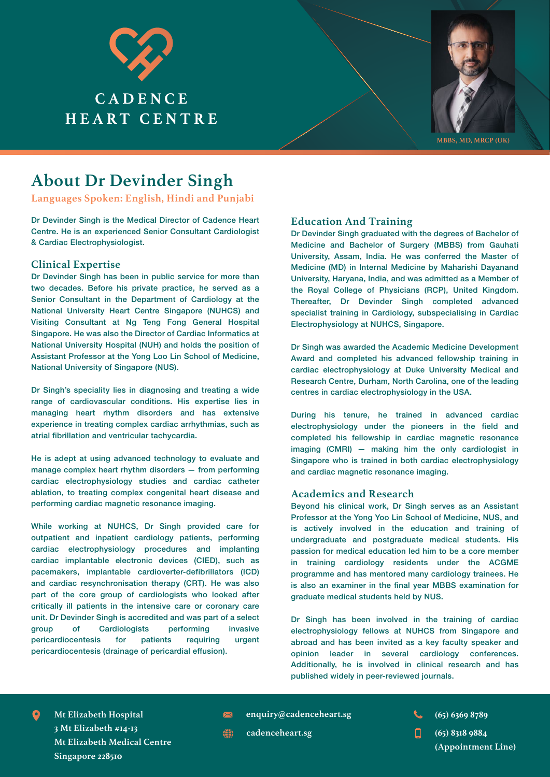



## **About Dr Devinder Singh**

**Languages Spoken: English, Hindi and Punjabi** 

Dr Devinder Singh is the Medical Director of Cadence Heart Centre. He is an experienced Senior Consultant Cardiologist & Cardiac Electrophysiologist.

#### **Clinical Expertise**

Dr Devinder Singh has been in public service for more than two decades. Before his private practice, he served as a Senior Consultant in the Department of Cardiology at the National University Heart Centre Singapore (NUHCS) and Visiting Consultant at Ng Teng Fong General Hospital Singapore. He was also the Director of Cardiac Informatics at National University Hospital (NUH) and holds the position of Assistant Professor at the Yong Loo Lin School of Medicine, National University of Singapore (NUS).

Dr Singh's speciality lies in diagnosing and treating a wide range of cardiovascular conditions. His expertise lies in managing heart rhythm disorders and has extensive experience in treating complex cardiac arrhythmias, such as atrial fibrillation and ventricular tachycardia.

He is adept at using advanced technology to evaluate and manage complex heart rhythm disorders — from performing cardiac electrophysiology studies and cardiac catheter ablation, to treating complex congenital heart disease and performing cardiac magnetic resonance imaging.

While working at NUHCS, Dr Singh provided care for outpatient and inpatient cardiology patients, performing cardiac electrophysiology procedures and implanting cardiac implantable electronic devices (CIED), such as pacemakers, implantable cardioverter-defibrillators (ICD) and cardiac resynchronisation therapy (CRT). He was also part of the core group of cardiologists who looked after critically ill patients in the intensive care or coronary care unit. Dr Devinder Singh is accredited and was part of a select group of Cardiologists performing invasive pericardiocentesis for patients requiring urgent pericardiocentesis (drainage of pericardial effusion).

### **Education And Training**

Dr Devinder Singh graduated with the degrees of Bachelor of Medicine and Bachelor of Surgery (MBBS) from Gauhati University, Assam, India. He was conferred the Master of Medicine (MD) in Internal Medicine by Maharishi Dayanand University, Haryana, India, and was admitted as a Member of the Royal College of Physicians (RCP), United Kingdom. Thereafter, Dr Devinder Singh completed advanced specialist training in Cardiology, subspecialising in Cardiac Electrophysiology at NUHCS, Singapore.

Dr Singh was awarded the Academic Medicine Development Award and completed his advanced fellowship training in cardiac electrophysiology at Duke University Medical and Research Centre, Durham, North Carolina, one of the leading centres in cardiac electrophysiology in the USA.

During his tenure, he trained in advanced cardiac electrophysiology under the pioneers in the field and completed his fellowship in cardiac magnetic resonance imaging (CMRI) — making him the only cardiologist in Singapore who is trained in both cardiac electrophysiology and cardiac magnetic resonance imaging.

#### **Academics and Research**

Beyond his clinical work, Dr Singh serves as an Assistant Professor at the Yong Yoo Lin School of Medicine, NUS, and is actively involved in the education and training of undergraduate and postgraduate medical students. His passion for medical education led him to be a core member in training cardiology residents under the ACGME programme and has mentored many cardiology trainees. He is also an examiner in the final year MBBS examination for graduate medical students held by NUS.

Dr Singh has been involved in the training of cardiac electrophysiology fellows at NUHCS from Singapore and abroad and has been invited as a key faculty speaker and opinion leader in several cardiology conferences. Additionally, he is involved in clinical research and has published widely in peer-reviewed journals.

**enquiry@cadenceheart.sg Mt Elizabeth Hospital (65) 6369 8789 3 Mt Elizabeth #14-13 Mt Elizabeth Medical Centre Singapore 228510**

- 
- **cadenceheart.sg (65) 8318 9884 (Appointment Line)**

龠